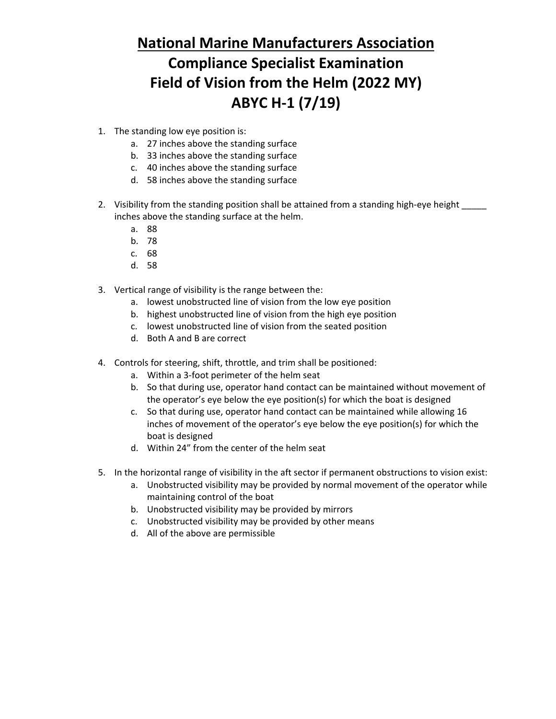## **National Marine Manufacturers Association Compliance Specialist Examination Field of Vision from the Helm (2022 MY) ABYC H-1 (7/19)**

- 1. The standing low eye position is:
	- a. 27 inches above the standing surface
	- b. 33 inches above the standing surface
	- c. 40 inches above the standing surface
	- d. 58 inches above the standing surface
- 2. Visibility from the standing position shall be attained from a standing high-eye height \_\_\_\_\_\_ inches above the standing surface at the helm.
	- a. 88
	- b. 78
	- c. 68
	- d. 58
- 3. Vertical range of visibility is the range between the:
	- a. lowest unobstructed line of vision from the low eye position
	- b. highest unobstructed line of vision from the high eye position
	- c. lowest unobstructed line of vision from the seated position
	- d. Both A and B are correct
- 4. Controls for steering, shift, throttle, and trim shall be positioned:
	- a. Within a 3-foot perimeter of the helm seat
	- b. So that during use, operator hand contact can be maintained without movement of the operator's eye below the eye position(s) for which the boat is designed
	- c. So that during use, operator hand contact can be maintained while allowing 16 inches of movement of the operator's eye below the eye position(s) for which the boat is designed
	- d. Within 24" from the center of the helm seat
- 5. In the horizontal range of visibility in the aft sector if permanent obstructions to vision exist:
	- a. Unobstructed visibility may be provided by normal movement of the operator while maintaining control of the boat
	- b. Unobstructed visibility may be provided by mirrors
	- c. Unobstructed visibility may be provided by other means
	- d. All of the above are permissible